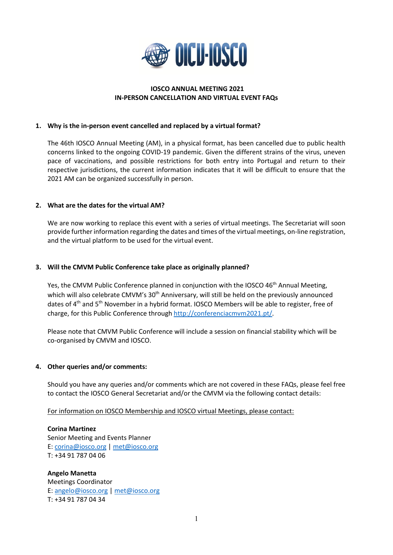

### **IOSCO ANNUAL MEETING 2021 IN-PERSON CANCELLATION AND VIRTUAL EVENT FAQs**

### **1. Why is the in-person event cancelled and replaced by a virtual format?**

The 46th IOSCO Annual Meeting (AM), in a physical format, has been cancelled due to public health concerns linked to the ongoing COVID-19 pandemic. Given the different strains of the virus, uneven pace of vaccinations, and possible restrictions for both entry into Portugal and return to their respective jurisdictions, the current information indicates that it will be difficult to ensure that the 2021 AM can be organized successfully in person.

## **2. What are the dates for the virtual AM?**

We are now working to replace this event with a series of virtual meetings. The Secretariat will soon provide further information regarding the dates and times of the virtual meetings, on-line registration, and the virtual platform to be used for the virtual event.

## **3. Will the CMVM Public Conference take place as originally planned?**

Yes, the CMVM Public Conference planned in conjunction with the IOSCO 46<sup>th</sup> Annual Meeting, which will also celebrate CMVM's 30<sup>th</sup> Anniversary, will still be held on the previously announced dates of 4<sup>th</sup> and 5<sup>th</sup> November in a hybrid format. IOSCO Members will be able to register, free of charge, for this Public Conference throug[h http://conferenciacmvm2021.pt/.](http://conferenciacmvm2021.pt/)

Please note that CMVM Public Conference will include a session on financial stability which will be co-organised by CMVM and IOSCO.

### **4. Other queries and/or comments:**

Should you have any queries and/or comments which are not covered in these FAQs, please feel free to contact the IOSCO General Secretariat and/or the CMVM via the following contact details:

For information on IOSCO Membership and IOSCO virtual Meetings, please contact:

**Corina Martinez**  Senior Meeting and Events Planner E: [corina@iosco.org](mailto:corina@iosco.org) | [met@iosco.org](mailto:met@iosco.org) T: +34 91 787 04 06

**Angelo Manetta**  Meetings Coordinator E: [angelo@iosco.org](mailto:angelo@iosco.org) | [met@iosco.org](mailto:met@iosco.org) T: +34 91 787 04 34